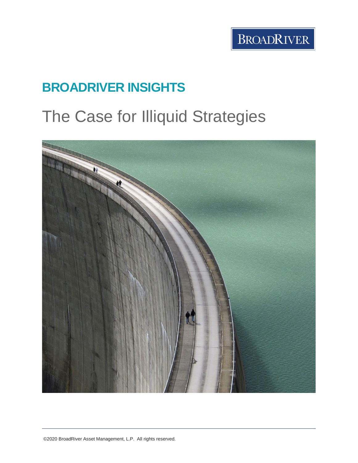# **BROADRIVER INSIGHTS**

# The Case for Illiquid Strategies

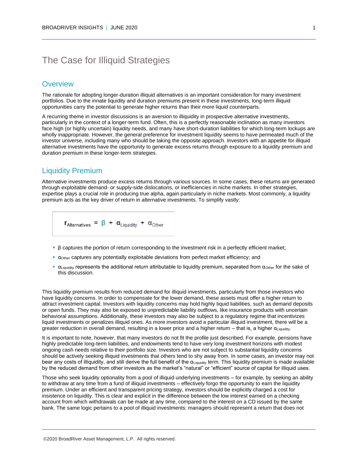# The Case for Illiquid Strategies

## **Overview**

The rationale for adopting longer-duration illiquid alternatives is an important consideration for many investment portfolios. Due to the innate liquidity and duration premiums present in these investments, long-term illiquid opportunities carry the potential to generate higher returns than their more liquid counterparts.

A recurring theme in investor discussions is an aversion to illiquidity in prospective alternative investments, particularly in the context of a longer-term fund. Often, this is a perfectly reasonable inclination as many investors face high (or highly uncertain) liquidity needs, and many have short-duration liabilities for which long-term lockups are wholly inappropriate. However, the general preference for investment liquidity seems to have permeated much of the investor universe, including many who should be taking the opposite approach. Investors with an appetite for illiquid alternative investments have the opportunity to generate excess returns through exposure to a liquidity premium and duration premium in these longer-term strategies.

#### Liquidity Premium

Alternative investments produce excess returns through various sources. In some cases, these returns are generated through exploitable demand- or supply-side dislocations, or inefficiencies in niche markets. In other strategies, expertise plays a crucial role in producing true alpha, again particularly in niche markets. Most commonly, a liquidity premium acts as the key driver of return in alternative investments. To simplify vastly:

 $r_{\text{Alternatives}} = \beta + \alpha_{\text{Liquality}} + \alpha_{\text{Other}}$ 

- β captures the portion of return corresponding to the investment risk in a perfectly efficient market;
- αOther captures any potentially exploitable deviations from perfect market efficiency; and
- **•**  $\alpha$ <sub>Liquidity</sub> represents the additional return attributable to liquidity premium, separated from  $\alpha$ <sub>Other</sub> for the sake of this discussion.

This liquidity premium results from reduced demand for illiquid investments, particularly from those investors who have liquidity concerns. In order to compensate for the lower demand, these assets must offer a higher return to attract investment capital. Investors with liquidity concerns may hold highly liquid liabilities, such as demand deposits or open funds. They may also be exposed to unpredictable liability outflows, like insurance products with uncertain behavioral assumptions. Additionally, these investors may also be subject to a regulatory regime that incentivizes liquid investments or penalizes illiquid ones. As more investors avoid a particular illiquid investment, there will be a greater reduction in overall demand, resulting in a lower price and a higher return – that is, a higher αLiquidity.

It is important to note, however, that many investors do not fit the profile just described. For example, pensions have highly predictable long-term liabilities, and endowments tend to have very long investment horizons with modest ongoing cash needs relative to their portfolio size. Investors who are not subject to substantial liquidity concerns should be actively seeking illiquid investments that others tend to shy away from. In some cases, an investor may not bear any costs of illiquidity, and still derive the full benefit of the  $\alpha$ Liquidity term. This liquidity premium is made available by the reduced demand from other investors as the market's "natural" or "efficient" source of capital for illiquid uses.

Those who seek liquidity optionality from a pool of illiquid underlying investments – for example, by seeking an ability to withdraw at any time from a fund of illiquid investments – effectively forgo the opportunity to earn the liquidity premium. Under an efficient and transparent pricing strategy, investors should be explicitly charged a cost for insistence on liquidity. This is clear and explicit in the difference between the low interest earned on a checking account from which withdrawals can be made at any time, compared to the interest on a CD issued by the same bank. The same logic pertains to a pool of illiquid investments: managers should represent a return that does not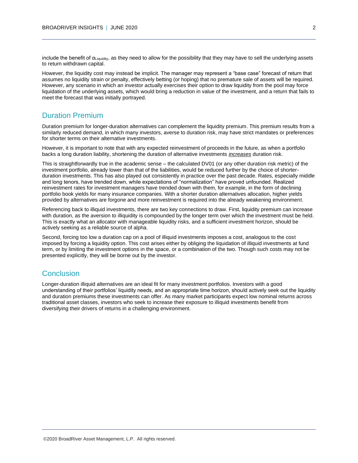include the benefit of  $\alpha_{\text{Liquidity}}$ , as they need to allow for the possibility that they may have to sell the underlying assets to return withdrawn capital.

However, the liquidity cost may instead be implicit. The manager may represent a "base case" forecast of return that assumes no liquidity strain or penalty, effectively betting (or hoping) that no premature sale of assets will be required. However, any scenario in which an investor actually exercises their option to draw liquidity from the pool may force liquidation of the underlying assets, which would bring a reduction in value of the investment, and a return that fails to meet the forecast that was initially portrayed.

## Duration Premium

Duration premium for longer-duration alternatives can complement the liquidity premium. This premium results from a similarly reduced demand, in which many investors, averse to duration risk, may have strict mandates or preferences for shorter terms on their alternative investments.

However, it is important to note that with any expected reinvestment of proceeds in the future, as when a portfolio backs a long duration liability, shortening the duration of alternative investments *increases* duration risk.

This is straightforwardly true in the academic sense – the calculated DV01 (or any other duration risk metric) of the investment portfolio, already lower than that of the liabilities, would be reduced further by the choice of shorterduration investments. This has also played out consistently in practice over the past decade. Rates, especially middle and long tenors, have trended down, while expectations of "normalization" have proved unfounded. Realized reinvestment rates for investment managers have trended down with them, for example, in the form of declining portfolio book yields for many insurance companies. With a shorter duration alternatives allocation, higher yields provided by alternatives are forgone and more reinvestment is required into the already weakening environment.

Referencing back to illiquid investments, there are two key connections to draw. First, liquidity premium can increase with duration, as the aversion to illiquidity is compounded by the longer term over which the investment must be held. This is exactly what an allocator with manageable liquidity risks, and a sufficient investment horizon, should be actively seeking as a reliable source of alpha.

Second, forcing too low a duration cap on a pool of illiquid investments imposes a cost, analogous to the cost imposed by forcing a liquidity option. This cost arises either by obliging the liquidation of illiquid investments at fund term, or by limiting the investment options in the space, or a combination of the two. Though such costs may not be presented explicitly, they will be borne out by the investor.

#### **Conclusion**

Longer-duration illiquid alternatives are an ideal fit for many investment portfolios. Investors with a good understanding of their portfolios' liquidity needs, and an appropriate time horizon, should actively seek out the liquidity and duration premiums these investments can offer. As many market participants expect low nominal returns across traditional asset classes, investors who seek to increase their exposure to illiquid investments benefit from diversifying their drivers of returns in a challenging environment.